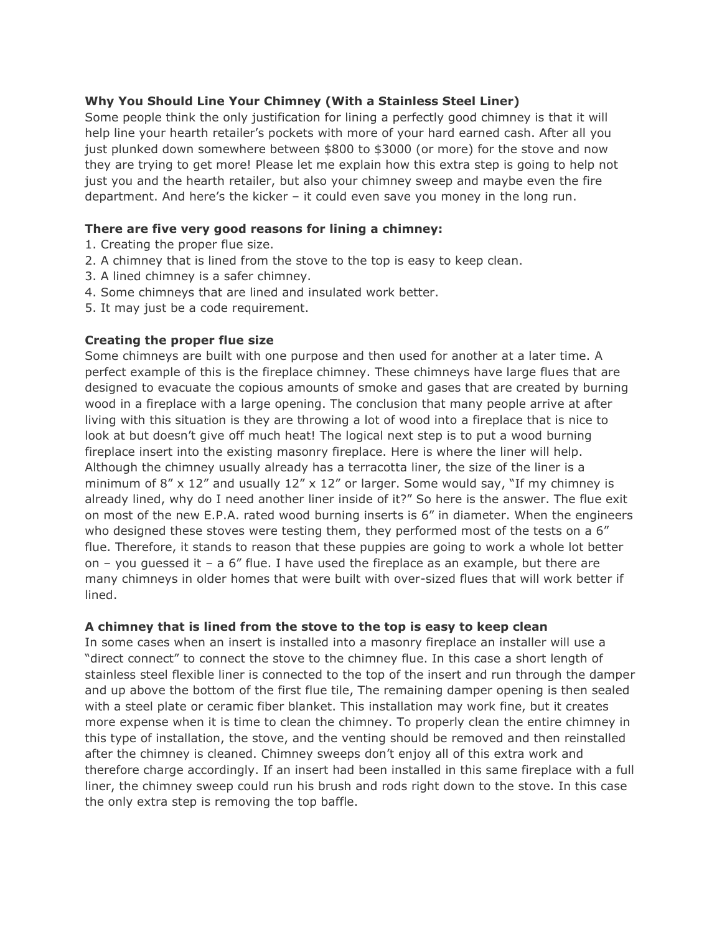# **Why You Should Line Your Chimney (With a Stainless Steel Liner)**

Some people think the only justification for lining a perfectly good chimney is that it will help line your hearth retailer's pockets with more of your hard earned cash. After all you just plunked down somewhere between \$800 to \$3000 (or more) for the stove and now they are trying to get more! Please let me explain how this extra step is going to help not just you and the hearth retailer, but also your chimney sweep and maybe even the fire department. And here's the kicker – it could even save you money in the long run.

### **There are five very good reasons for lining a chimney:**

- 1. Creating the proper flue size.
- 2. A chimney that is lined from the stove to the top is easy to keep clean.
- 3. A lined chimney is a safer chimney.
- 4. Some chimneys that are lined and insulated work better.
- 5. It may just be a code requirement.

## **Creating the proper flue size**

Some chimneys are built with one purpose and then used for another at a later time. A perfect example of this is the fireplace chimney. These chimneys have large flues that are designed to evacuate the copious amounts of smoke and gases that are created by burning wood in a fireplace with a large opening. The conclusion that many people arrive at after living with this situation is they are throwing a lot of wood into a fireplace that is nice to look at but doesn't give off much heat! The logical next step is to put a wood burning fireplace insert into the existing masonry fireplace. Here is where the liner will help. Although the chimney usually already has a terracotta liner, the size of the liner is a minimum of  $8'' \times 12''$  and usually  $12'' \times 12''$  or larger. Some would say, "If my chimney is already lined, why do I need another liner inside of it?" So here is the answer. The flue exit on most of the new E.P.A. rated wood burning inserts is 6" in diameter. When the engineers who designed these stoves were testing them, they performed most of the tests on a 6" flue. Therefore, it stands to reason that these puppies are going to work a whole lot better on – you quessed it – a  $6''$  flue. I have used the fireplace as an example, but there are many chimneys in older homes that were built with over-sized flues that will work better if lined.

#### **A chimney that is lined from the stove to the top is easy to keep clean**

In some cases when an insert is installed into a masonry fireplace an installer will use a "direct connect" to connect the stove to the chimney flue. In this case a short length of stainless steel flexible liner is connected to the top of the insert and run through the damper and up above the bottom of the first flue tile, The remaining damper opening is then sealed with a steel plate or ceramic fiber blanket. This installation may work fine, but it creates more expense when it is time to clean the chimney. To properly clean the entire chimney in this type of installation, the stove, and the venting should be removed and then reinstalled after the chimney is cleaned. Chimney sweeps don't enjoy all of this extra work and therefore charge accordingly. If an insert had been installed in this same fireplace with a full liner, the chimney sweep could run his brush and rods right down to the stove. In this case the only extra step is removing the top baffle.